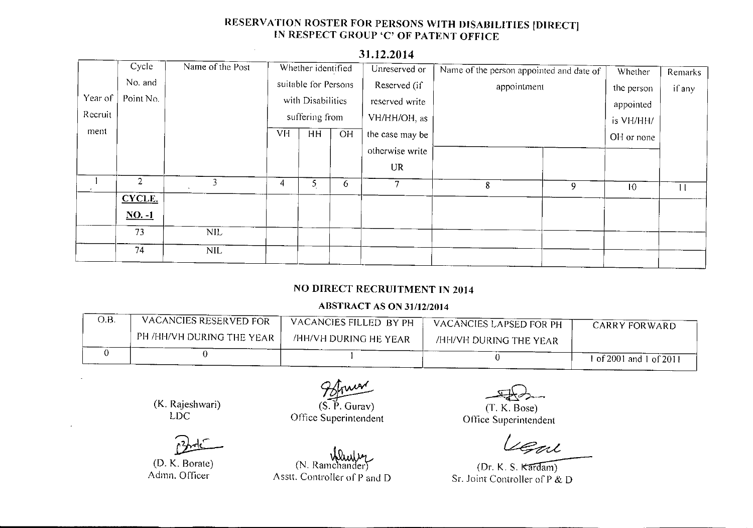# RESERVATION ROSTER FOR PERSONS **WITH** DISABILITIES [DIRECT] IN RESPECT CROUP 'C' OF PATENT OFFICE

|         | Cycle                | Name of the Post | Whether identified   |                   | Unreserved or | Name of the person appointed and date of | Whether | <b>Remarks</b> |                 |         |
|---------|----------------------|------------------|----------------------|-------------------|---------------|------------------------------------------|---------|----------------|-----------------|---------|
|         | No. and              |                  | suitable for Persons |                   | Reserved (if  | appointment                              |         | the person     | if any          |         |
| Year of | Point No.            |                  |                      | with Disabilities |               | reserved write                           |         |                | appointed       |         |
| Recruit |                      |                  |                      | suffering from    |               | VH/HH/OH, as                             |         |                | is VH/HH/       |         |
| ment    |                      |                  | VH                   | HH                | <b>OH</b>     | the case may be                          |         |                | OH or none      |         |
|         |                      |                  |                      |                   |               | otherwise write                          |         |                |                 |         |
|         |                      |                  |                      |                   |               | <b>UR</b>                                |         |                |                 |         |
|         | 2                    | 3                | 4                    | 5                 | 6             | 7                                        | 8       | 9              | 10 <sup>°</sup> | $\perp$ |
|         | CYCLE.               |                  |                      |                   |               |                                          |         |                |                 |         |
|         | $\underline{NO. -1}$ |                  |                      |                   |               |                                          |         |                |                 |         |
|         | 73                   | <b>NIL</b>       |                      |                   |               |                                          |         |                |                 |         |
|         | 74                   | <b>NIL</b>       |                      |                   |               |                                          |         |                |                 |         |

### **31.12.2014**

 $\mathcal{L}$ 

## NO DIRECT RECRUITMENT **IN** 2014

### ABSTRACT AS ON 31/12/2014

| O.B. | VACANCIES RESERVED FOR                   | VACANCIES FILLED BY PH | VACANCIES LAPSED FOR PH | CARRY FORWARD           |
|------|------------------------------------------|------------------------|-------------------------|-------------------------|
|      | $\,$ PH /HH/VH DURING THE YEAR $\,$ $\,$ | /HH/VH DURING HE YEAR  | /HH/VH DURING THE YEAR  |                         |
|      |                                          |                        |                         | i of 2001 and 1 of 2011 |

(K. Rajeshwari) LDe

(D. K. Borate) Admn. Officer

 $\sqrt{g}$ <br>(S. P. Gurav Office Superintendent

 $(N.$  Ramchander)

Asstt. Controller of P and D

<u>ب</u>

(T. K. Bose) Office Superintendent

Fal

 $(Dr. K. S. Kardam)$ Sr. Joint Controller of P & D